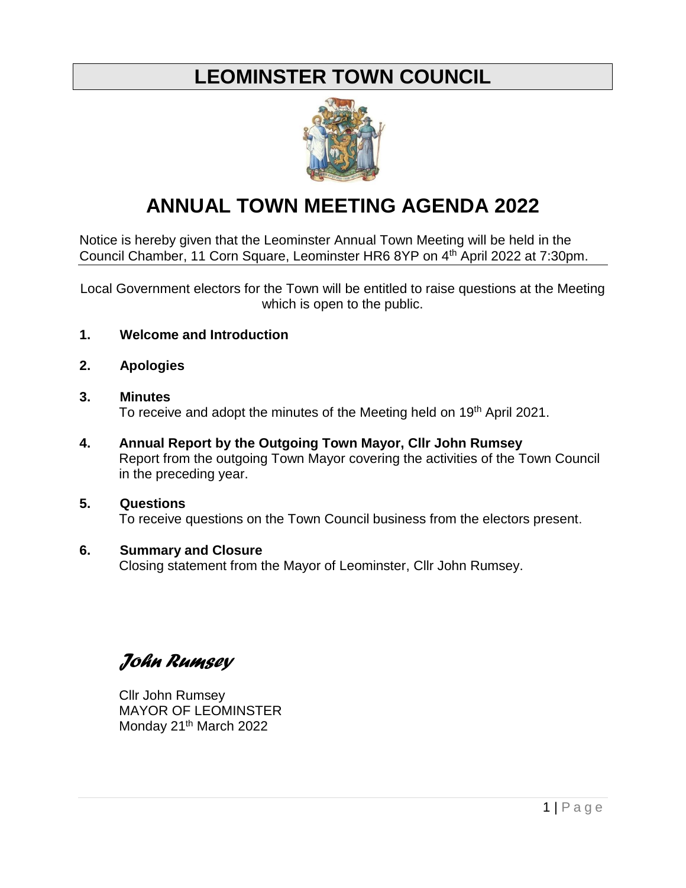# **LEOMINSTER TOWN COUNCIL**



# **ANNUAL TOWN MEETING AGENDA 2022**

Notice is hereby given that the Leominster Annual Town Meeting will be held in the Council Chamber, 11 Corn Square, Leominster HR6 8YP on 4th April 2022 at 7:30pm.

Local Government electors for the Town will be entitled to raise questions at the Meeting which is open to the public.

- **1. Welcome and Introduction**
- **2. Apologies**
- **3. Minutes**  To receive and adopt the minutes of the Meeting held on 19<sup>th</sup> April 2021.
- **4. Annual Report by the Outgoing Town Mayor, Cllr John Rumsey** Report from the outgoing Town Mayor covering the activities of the Town Council in the preceding year.

### **5. Questions** To receive questions on the Town Council business from the electors present.

# **6. Summary and Closure**

Closing statement from the Mayor of Leominster, Cllr John Rumsey.

*John Rumsey*

Cllr John Rumsey MAYOR OF LEOMINSTER Monday 21<sup>th</sup> March 2022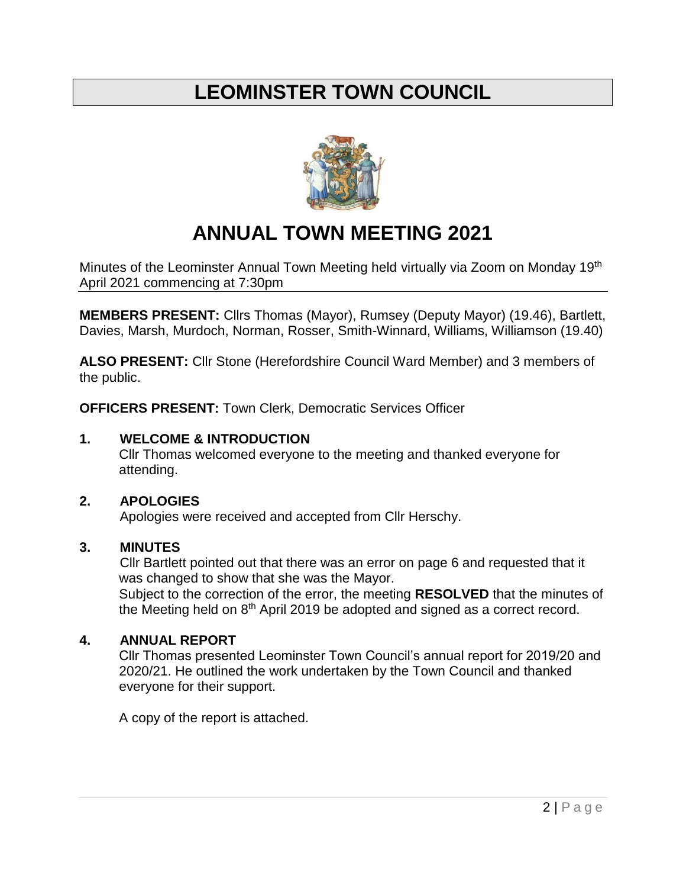# **LEOMINSTER TOWN COUNCIL**



# **ANNUAL TOWN MEETING 2021**

Minutes of the Leominster Annual Town Meeting held virtually via Zoom on Monday 19<sup>th</sup> April 2021 commencing at 7:30pm

**MEMBERS PRESENT:** Cllrs Thomas (Mayor), Rumsey (Deputy Mayor) (19.46), Bartlett, Davies, Marsh, Murdoch, Norman, Rosser, Smith-Winnard, Williams, Williamson (19.40)

**ALSO PRESENT:** Cllr Stone (Herefordshire Council Ward Member) and 3 members of the public.

**OFFICERS PRESENT:** Town Clerk, Democratic Services Officer

### **1. WELCOME & INTRODUCTION**

Cllr Thomas welcomed everyone to the meeting and thanked everyone for attending.

## **2. APOLOGIES**

Apologies were received and accepted from Cllr Herschy.

### **3. MINUTES**

Cllr Bartlett pointed out that there was an error on page 6 and requested that it was changed to show that she was the Mayor.

Subject to the correction of the error, the meeting **RESOLVED** that the minutes of the Meeting held on 8<sup>th</sup> April 2019 be adopted and signed as a correct record.

### **4. ANNUAL REPORT**

Cllr Thomas presented Leominster Town Council's annual report for 2019/20 and 2020/21. He outlined the work undertaken by the Town Council and thanked everyone for their support.

A copy of the report is attached.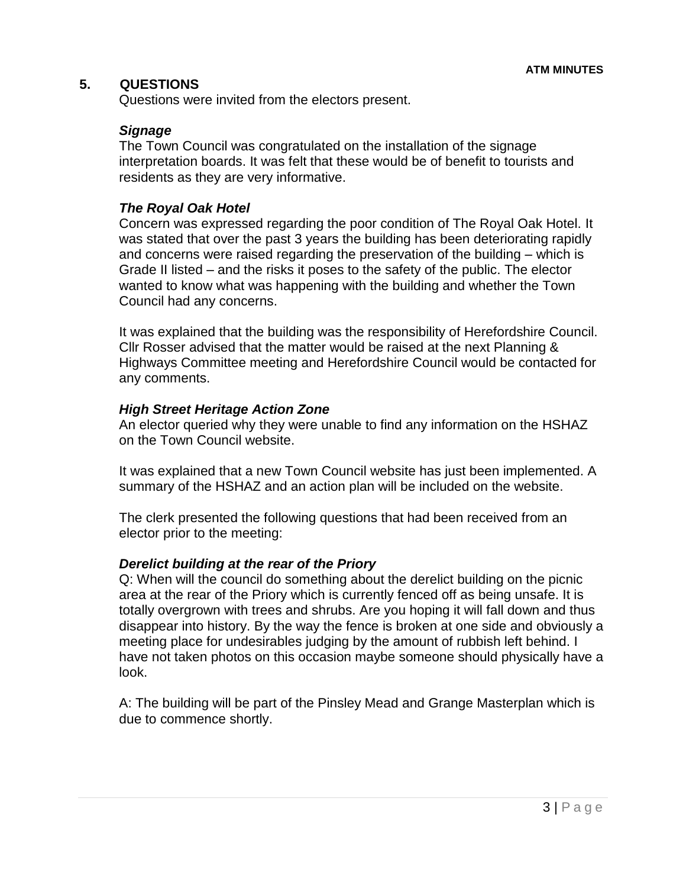### **5. QUESTIONS**

Questions were invited from the electors present.

#### *Signage*

The Town Council was congratulated on the installation of the signage interpretation boards. It was felt that these would be of benefit to tourists and residents as they are very informative.

#### *The Royal Oak Hotel*

Concern was expressed regarding the poor condition of The Royal Oak Hotel. It was stated that over the past 3 years the building has been deteriorating rapidly and concerns were raised regarding the preservation of the building – which is Grade II listed – and the risks it poses to the safety of the public. The elector wanted to know what was happening with the building and whether the Town Council had any concerns.

It was explained that the building was the responsibility of Herefordshire Council. Cllr Rosser advised that the matter would be raised at the next Planning & Highways Committee meeting and Herefordshire Council would be contacted for any comments.

#### *High Street Heritage Action Zone*

An elector queried why they were unable to find any information on the HSHAZ on the Town Council website.

It was explained that a new Town Council website has just been implemented. A summary of the HSHAZ and an action plan will be included on the website.

The clerk presented the following questions that had been received from an elector prior to the meeting:

#### *Derelict building at the rear of the Priory*

Q: When will the council do something about the derelict building on the picnic area at the rear of the Priory which is currently fenced off as being unsafe. It is totally overgrown with trees and shrubs. Are you hoping it will fall down and thus disappear into history. By the way the fence is broken at one side and obviously a meeting place for undesirables judging by the amount of rubbish left behind. I have not taken photos on this occasion maybe someone should physically have a look.

A: The building will be part of the Pinsley Mead and Grange Masterplan which is due to commence shortly.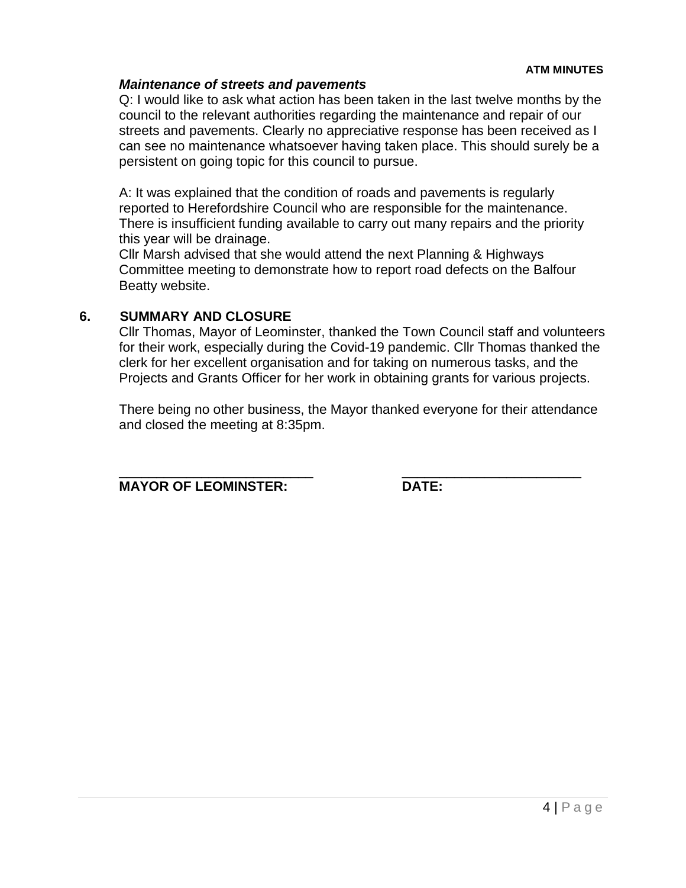#### *Maintenance of streets and pavements*

Q: I would like to ask what action has been taken in the last twelve months by the council to the relevant authorities regarding the maintenance and repair of our streets and pavements. Clearly no appreciative response has been received as I can see no maintenance whatsoever having taken place. This should surely be a persistent on going topic for this council to pursue.

A: It was explained that the condition of roads and pavements is regularly reported to Herefordshire Council who are responsible for the maintenance. There is insufficient funding available to carry out many repairs and the priority this year will be drainage.

Cllr Marsh advised that she would attend the next Planning & Highways Committee meeting to demonstrate how to report road defects on the Balfour Beatty website.

### **6. SUMMARY AND CLOSURE**

Cllr Thomas, Mayor of Leominster, thanked the Town Council staff and volunteers for their work, especially during the Covid-19 pandemic. Cllr Thomas thanked the clerk for her excellent organisation and for taking on numerous tasks, and the Projects and Grants Officer for her work in obtaining grants for various projects.

There being no other business, the Mayor thanked everyone for their attendance and closed the meeting at 8:35pm.

\_\_\_\_\_\_\_\_\_\_\_\_\_\_\_\_\_\_\_\_\_\_\_\_\_\_ \_\_\_\_\_\_\_\_\_\_\_\_\_\_\_\_\_\_\_\_\_\_\_\_

**MAYOR OF LEOMINSTER: DATE:**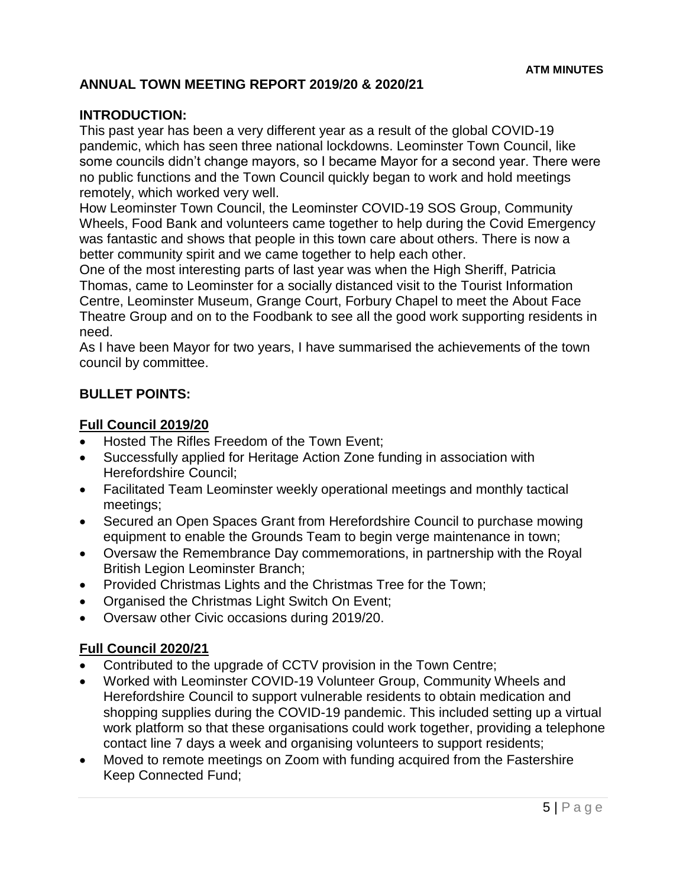# **ANNUAL TOWN MEETING REPORT 2019/20 & 2020/21**

## **INTRODUCTION:**

This past year has been a very different year as a result of the global COVID-19 pandemic, which has seen three national lockdowns. Leominster Town Council, like some councils didn't change mayors, so I became Mayor for a second year. There were no public functions and the Town Council quickly began to work and hold meetings remotely, which worked very well.

How Leominster Town Council, the Leominster COVID-19 SOS Group, Community Wheels, Food Bank and volunteers came together to help during the Covid Emergency was fantastic and shows that people in this town care about others. There is now a better community spirit and we came together to help each other.

One of the most interesting parts of last year was when the High Sheriff, Patricia Thomas, came to Leominster for a socially distanced visit to the Tourist Information Centre, Leominster Museum, Grange Court, Forbury Chapel to meet the About Face Theatre Group and on to the Foodbank to see all the good work supporting residents in need.

As I have been Mayor for two years, I have summarised the achievements of the town council by committee.

### **BULLET POINTS:**

#### **Full Council 2019/20**

- Hosted The Rifles Freedom of the Town Event;
- Successfully applied for Heritage Action Zone funding in association with Herefordshire Council;
- Facilitated Team Leominster weekly operational meetings and monthly tactical meetings;
- Secured an Open Spaces Grant from Herefordshire Council to purchase mowing equipment to enable the Grounds Team to begin verge maintenance in town;
- Oversaw the Remembrance Day commemorations, in partnership with the Royal British Legion Leominster Branch;
- Provided Christmas Lights and the Christmas Tree for the Town;
- Organised the Christmas Light Switch On Event;
- Oversaw other Civic occasions during 2019/20.

### **Full Council 2020/21**

- Contributed to the upgrade of CCTV provision in the Town Centre;
- Worked with Leominster COVID-19 Volunteer Group, Community Wheels and Herefordshire Council to support vulnerable residents to obtain medication and shopping supplies during the COVID-19 pandemic. This included setting up a virtual work platform so that these organisations could work together, providing a telephone contact line 7 days a week and organising volunteers to support residents;
- Moved to remote meetings on Zoom with funding acquired from the Fastershire Keep Connected Fund;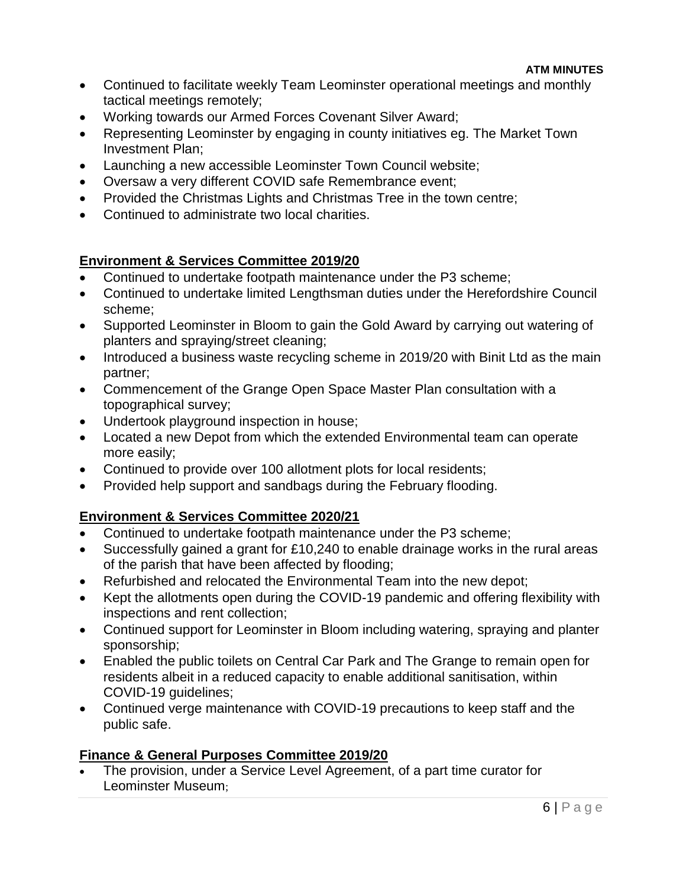- Continued to facilitate weekly Team Leominster operational meetings and monthly tactical meetings remotely;
- Working towards our Armed Forces Covenant Silver Award;
- Representing Leominster by engaging in county initiatives eg. The Market Town Investment Plan;
- Launching a new accessible Leominster Town Council website;
- Oversaw a very different COVID safe Remembrance event;
- Provided the Christmas Lights and Christmas Tree in the town centre;
- Continued to administrate two local charities.

# **Environment & Services Committee 2019/20**

- Continued to undertake footpath maintenance under the P3 scheme;
- Continued to undertake limited Lengthsman duties under the Herefordshire Council scheme;
- Supported Leominster in Bloom to gain the Gold Award by carrying out watering of planters and spraying/street cleaning;
- Introduced a business waste recycling scheme in 2019/20 with Binit Ltd as the main partner;
- Commencement of the Grange Open Space Master Plan consultation with a topographical survey;
- Undertook playground inspection in house;
- Located a new Depot from which the extended Environmental team can operate more easily;
- Continued to provide over 100 allotment plots for local residents;
- Provided help support and sandbags during the February flooding.

# **Environment & Services Committee 2020/21**

- Continued to undertake footpath maintenance under the P3 scheme;
- Successfully gained a grant for £10,240 to enable drainage works in the rural areas of the parish that have been affected by flooding;
- Refurbished and relocated the Environmental Team into the new depot;
- Kept the allotments open during the COVID-19 pandemic and offering flexibility with inspections and rent collection;
- Continued support for Leominster in Bloom including watering, spraying and planter sponsorship;
- Enabled the public toilets on Central Car Park and The Grange to remain open for residents albeit in a reduced capacity to enable additional sanitisation, within COVID-19 guidelines;
- Continued verge maintenance with COVID-19 precautions to keep staff and the public safe.

# **Finance & General Purposes Committee 2019/20**

 The provision, under a Service Level Agreement, of a part time curator for Leominster Museum;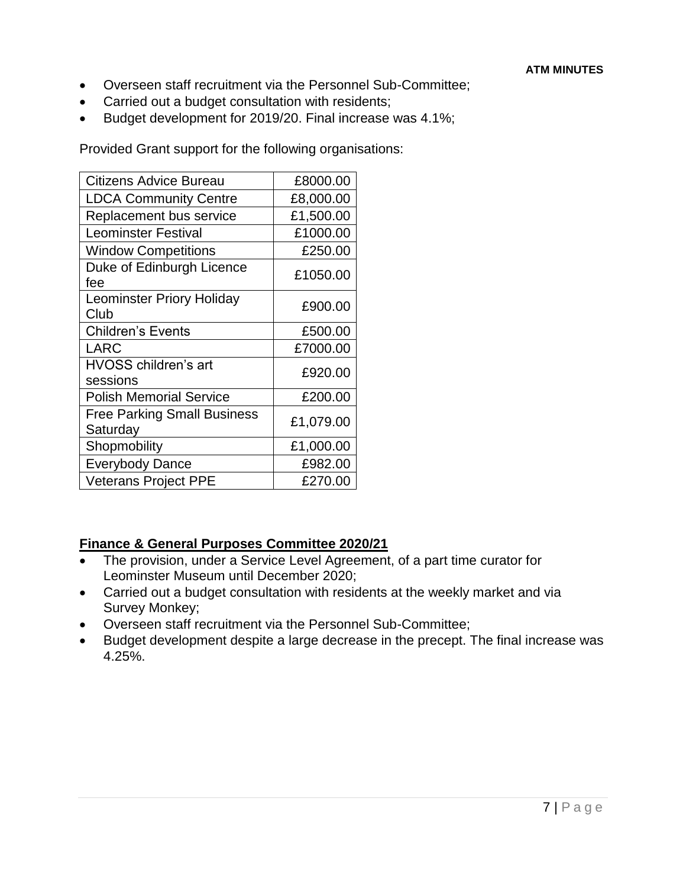- Overseen staff recruitment via the Personnel Sub-Committee;
- Carried out a budget consultation with residents;
- Budget development for 2019/20. Final increase was 4.1%;

Provided Grant support for the following organisations:

| Citizens Advice Bureau                         | £8000.00  |
|------------------------------------------------|-----------|
| <b>LDCA Community Centre</b>                   | £8,000.00 |
| Replacement bus service                        | £1,500.00 |
| <b>Leominster Festival</b>                     | £1000.00  |
| <b>Window Competitions</b>                     | £250.00   |
| Duke of Edinburgh Licence<br>fee               | £1050.00  |
| <b>Leominster Priory Holiday</b><br>Club       | £900.00   |
| <b>Children's Events</b>                       | £500.00   |
| <b>LARC</b>                                    | £7000.00  |
| HVOSS children's art<br>sessions               | £920.00   |
| <b>Polish Memorial Service</b>                 | £200.00   |
| <b>Free Parking Small Business</b><br>Saturday | £1,079.00 |
| Shopmobility                                   | £1,000.00 |
| <b>Everybody Dance</b>                         | £982.00   |
| <b>Veterans Project PPE</b>                    | £270.00   |

### **Finance & General Purposes Committee 2020/21**

- The provision, under a Service Level Agreement, of a part time curator for Leominster Museum until December 2020;
- Carried out a budget consultation with residents at the weekly market and via Survey Monkey;
- Overseen staff recruitment via the Personnel Sub-Committee;
- Budget development despite a large decrease in the precept. The final increase was 4.25%.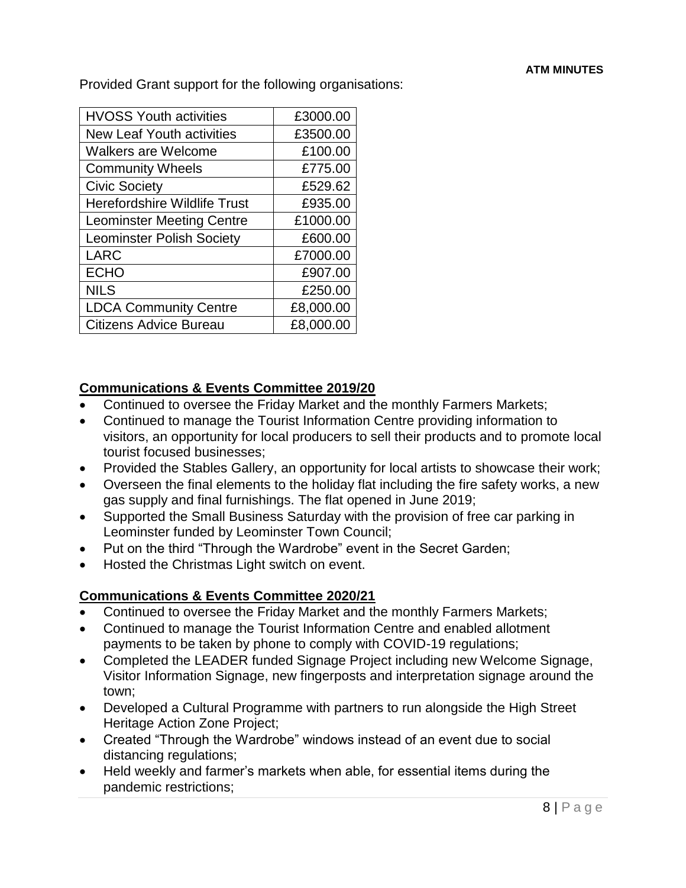Provided Grant support for the following organisations:

| <b>HVOSS Youth activities</b>       | £3000.00  |
|-------------------------------------|-----------|
| <b>New Leaf Youth activities</b>    | £3500.00  |
| <b>Walkers are Welcome</b>          | £100.00   |
| <b>Community Wheels</b>             | £775.00   |
| <b>Civic Society</b>                | £529.62   |
| <b>Herefordshire Wildlife Trust</b> | £935.00   |
| <b>Leominster Meeting Centre</b>    | £1000.00  |
| <b>Leominster Polish Society</b>    | £600.00   |
| <b>LARC</b>                         | £7000.00  |
| <b>ECHO</b>                         | £907.00   |
| <b>NILS</b>                         | £250.00   |
| <b>LDCA Community Centre</b>        | £8,000.00 |
| <b>Citizens Advice Bureau</b>       | £8,000.00 |

# **Communications & Events Committee 2019/20**

- Continued to oversee the Friday Market and the monthly Farmers Markets;
- Continued to manage the Tourist Information Centre providing information to visitors, an opportunity for local producers to sell their products and to promote local tourist focused businesses;
- Provided the Stables Gallery, an opportunity for local artists to showcase their work;
- Overseen the final elements to the holiday flat including the fire safety works, a new gas supply and final furnishings. The flat opened in June 2019;
- Supported the Small Business Saturday with the provision of free car parking in Leominster funded by Leominster Town Council;
- Put on the third "Through the Wardrobe" event in the Secret Garden;
- Hosted the Christmas Light switch on event.

# **Communications & Events Committee 2020/21**

- Continued to oversee the Friday Market and the monthly Farmers Markets;
- Continued to manage the Tourist Information Centre and enabled allotment payments to be taken by phone to comply with COVID-19 regulations;
- Completed the LEADER funded Signage Project including new Welcome Signage, Visitor Information Signage, new fingerposts and interpretation signage around the town;
- Developed a Cultural Programme with partners to run alongside the High Street Heritage Action Zone Project;
- Created "Through the Wardrobe" windows instead of an event due to social distancing regulations;
- Held weekly and farmer's markets when able, for essential items during the pandemic restrictions;